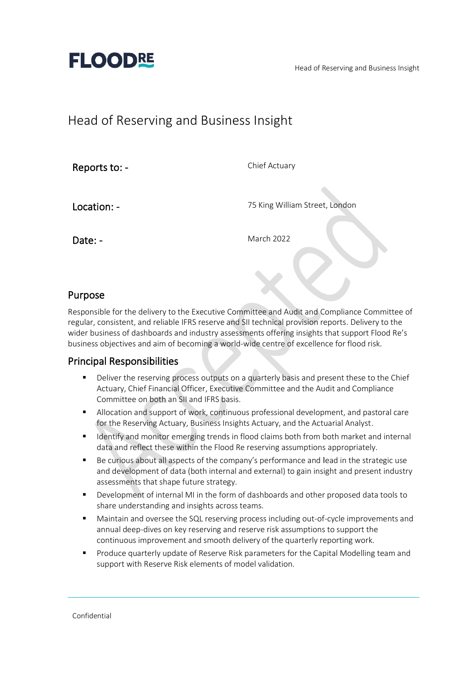Head of Reserving and Business Insight



## Head of Reserving and Business Insight

Reports to: -

Chief Actuary

Location: -

75 King William Street, London

Date: -

March 2022

### Purpose

Responsible for the delivery to the Executive Committee and Audit and Compliance Committee of regular, consistent, and reliable IFRS reserve and SII technical provision reports. Delivery to the wider business of dashboards and industry assessments offering insights that support Flood Re's business objectives and aim of becoming a world-wide centre of excellence for flood risk.

### Principal Responsibilities

- **•** Deliver the reserving process outputs on a quarterly basis and present these to the Chief Actuary, Chief Financial Officer, Executive Committee and the Audit and Compliance Committee on both an SII and IFRS basis.
- **E** Allocation and support of work, continuous professional development, and pastoral care for the Reserving Actuary, Business Insights Actuary, and the Actuarial Analyst.
- **■** Identify and monitor emerging trends in flood claims both from both market and internal data and reflect these within the Flood Re reserving assumptions appropriately.
- Be curious about all aspects of the company's performance and lead in the strategic use and development of data (both internal and external) to gain insight and present industry assessments that shape future strategy.
- Development of internal MI in the form of dashboards and other proposed data tools to share understanding and insights across teams.
- Maintain and oversee the SQL reserving process including out-of-cycle improvements and annual deep-dives on key reserving and reserve risk assumptions to support the continuous improvement and smooth delivery of the quarterly reporting work.
- Produce quarterly update of Reserve Risk parameters for the Capital Modelling team and support with Reserve Risk elements of model validation.

Confidential